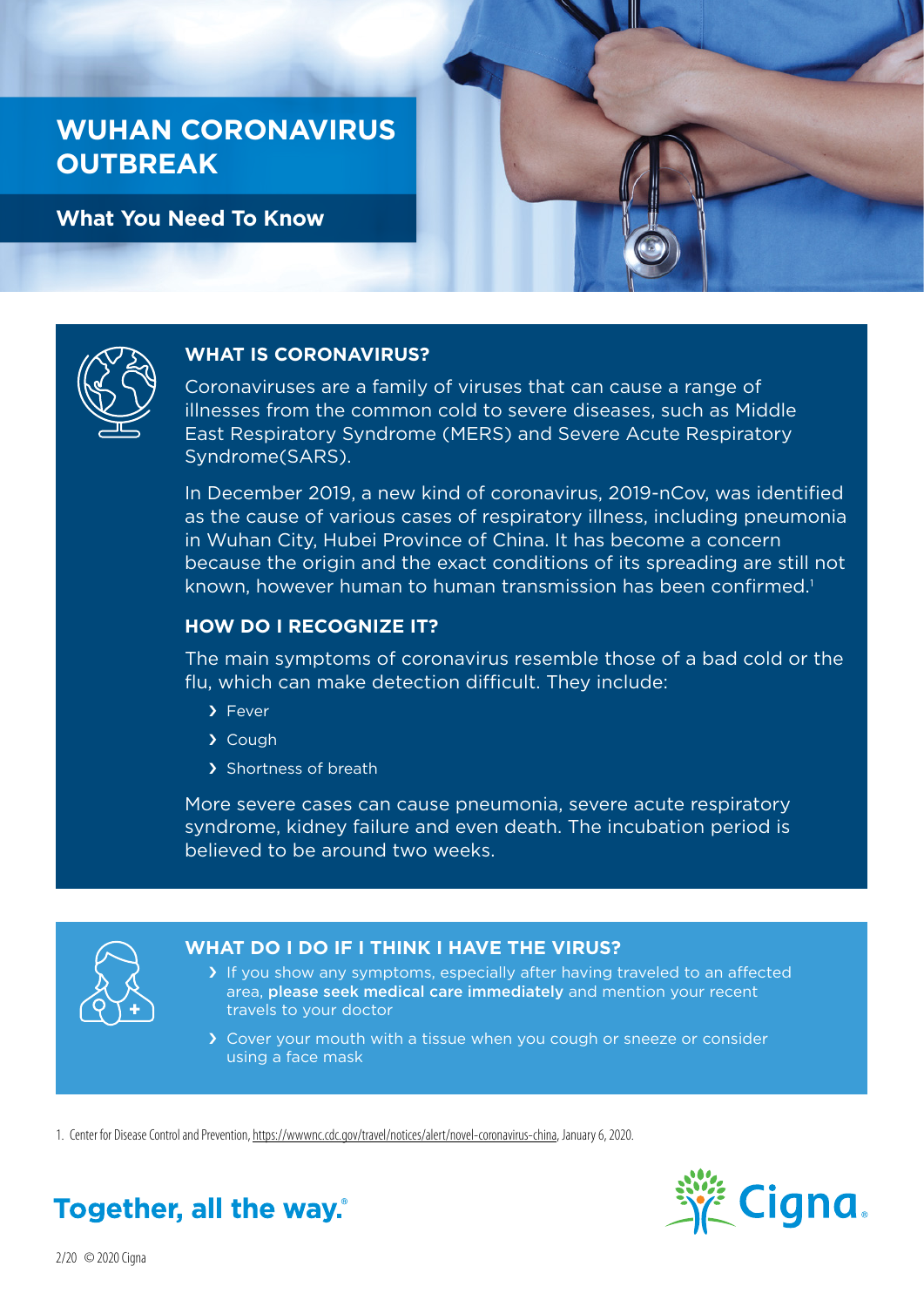## **WUHAN CORONAVIRUS OUTBREAK**

**What You Need To Know**





#### **WHAT IS CORONAVIRUS?**

Coronaviruses are a family of viruses that can cause a range of illnesses from the common cold to severe diseases, such as Middle East Respiratory Syndrome (MERS) and Severe Acute Respiratory Syndrome(SARS).

In December 2019, a new kind of coronavirus, 2019-nCov, was identified as the cause of various cases of respiratory illness, including pneumonia in Wuhan City, Hubei Province of China. It has become a concern because the origin and the exact conditions of its spreading are still not known, however human to human transmission has been confirmed.<sup>1</sup>

#### **HOW DO I RECOGNIZE IT?**

The main symptoms of coronavirus resemble those of a bad cold or the flu, which can make detection difficult. They include:

- › Fever
- › Cough
- > Shortness of breath

More severe cases can cause pneumonia, severe acute respiratory syndrome, kidney failure and even death. The incubation period is believed to be around two weeks.



### **WHAT DO I DO IF I THINK I HAVE THE VIRUS?**

- > If you show any symptoms, especially after having traveled to an affected area, please seek medical care immediately and mention your recent travels to your doctor
- › Cover your mouth with a tissue when you cough or sneeze or consider using a face mask

1. Center for Disease Control and Prevention, [https://wwwnc.cdc.gov/travel/notices/alert/novel-coronavirus-china,](https://wwwnc.cdc.gov/travel/notices/alert/novel-coronavirus-china) January 6, 2020.



# Together, all the way.